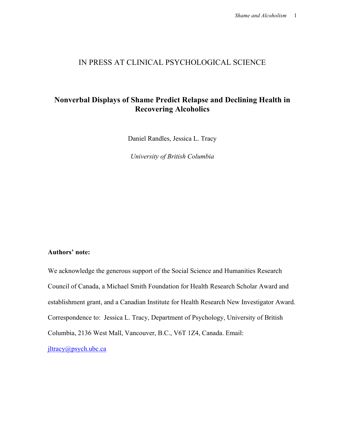## IN PRESS AT CLINICAL PSYCHOLOGICAL SCIENCE

# **Nonverbal Displays of Shame Predict Relapse and Declining Health in Recovering Alcoholics**

Daniel Randles, Jessica L. Tracy

*University of British Columbia*

## **Authors' note:**

We acknowledge the generous support of the Social Science and Humanities Research Council of Canada, a Michael Smith Foundation for Health Research Scholar Award and establishment grant, and a Canadian Institute for Health Research New Investigator Award. Correspondence to: Jessica L. Tracy, Department of Psychology, University of British Columbia, 2136 West Mall, Vancouver, B.C., V6T 1Z4, Canada. Email: jltracy@psych.ubc.ca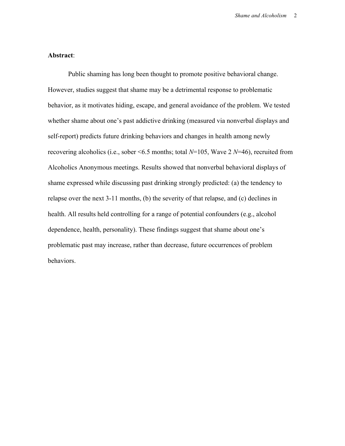### **Abstract**:

Public shaming has long been thought to promote positive behavioral change. However, studies suggest that shame may be a detrimental response to problematic behavior, as it motivates hiding, escape, and general avoidance of the problem. We tested whether shame about one's past addictive drinking (measured via nonverbal displays and self-report) predicts future drinking behaviors and changes in health among newly recovering alcoholics (i.e., sober <6.5 months; total *N*=105, Wave 2 *N*=46), recruited from Alcoholics Anonymous meetings. Results showed that nonverbal behavioral displays of shame expressed while discussing past drinking strongly predicted: (a) the tendency to relapse over the next 3-11 months, (b) the severity of that relapse, and (c) declines in health. All results held controlling for a range of potential confounders (e.g., alcohol dependence, health, personality). These findings suggest that shame about one's problematic past may increase, rather than decrease, future occurrences of problem behaviors.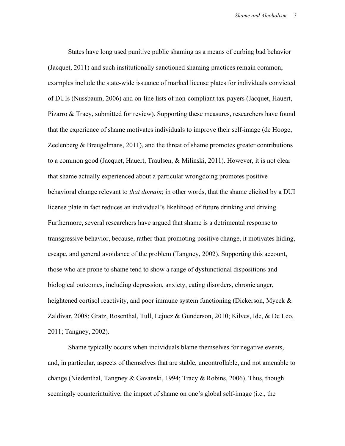States have long used punitive public shaming as a means of curbing bad behavior (Jacquet, 2011) and such institutionally sanctioned shaming practices remain common; examples include the state-wide issuance of marked license plates for individuals convicted of DUIs (Nussbaum, 2006) and on-line lists of non-compliant tax-payers (Jacquet, Hauert, Pizarro & Tracy, submitted for review). Supporting these measures, researchers have found that the experience of shame motivates individuals to improve their self-image (de Hooge, Zeelenberg & Breugelmans, 2011), and the threat of shame promotes greater contributions to a common good (Jacquet, Hauert, Traulsen, & Milinski, 2011). However, it is not clear that shame actually experienced about a particular wrongdoing promotes positive behavioral change relevant to *that domain*; in other words, that the shame elicited by a DUI license plate in fact reduces an individual's likelihood of future drinking and driving. Furthermore, several researchers have argued that shame is a detrimental response to transgressive behavior, because, rather than promoting positive change, it motivates hiding, escape, and general avoidance of the problem (Tangney, 2002). Supporting this account, those who are prone to shame tend to show a range of dysfunctional dispositions and biological outcomes, including depression, anxiety, eating disorders, chronic anger, heightened cortisol reactivity, and poor immune system functioning (Dickerson, Mycek & Zaldivar, 2008; Gratz, Rosenthal, Tull, Lejuez & Gunderson, 2010; Kilves, Ide, & De Leo, 2011; Tangney, 2002).

Shame typically occurs when individuals blame themselves for negative events, and, in particular, aspects of themselves that are stable, uncontrollable, and not amenable to change (Niedenthal, Tangney & Gavanski, 1994; Tracy & Robins, 2006). Thus, though seemingly counterintuitive, the impact of shame on one's global self-image (i.e., the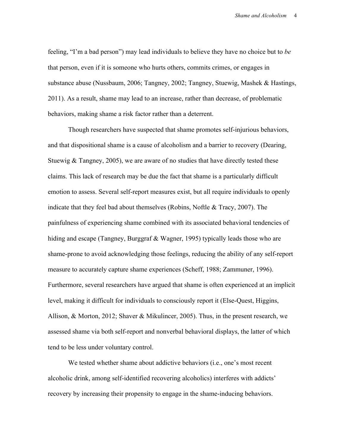feeling, "I'm a bad person") may lead individuals to believe they have no choice but to *be*  that person, even if it is someone who hurts others, commits crimes, or engages in substance abuse (Nussbaum, 2006; Tangney, 2002; Tangney, Stuewig, Mashek & Hastings, 2011). As a result, shame may lead to an increase, rather than decrease, of problematic behaviors, making shame a risk factor rather than a deterrent.

Though researchers have suspected that shame promotes self-injurious behaviors, and that dispositional shame is a cause of alcoholism and a barrier to recovery (Dearing, Stuewig & Tangney, 2005), we are aware of no studies that have directly tested these claims. This lack of research may be due the fact that shame is a particularly difficult emotion to assess. Several self-report measures exist, but all require individuals to openly indicate that they feel bad about themselves (Robins, Noftle & Tracy, 2007). The painfulness of experiencing shame combined with its associated behavioral tendencies of hiding and escape (Tangney, Burggraf & Wagner, 1995) typically leads those who are shame-prone to avoid acknowledging those feelings, reducing the ability of any self-report measure to accurately capture shame experiences (Scheff, 1988; Zammuner, 1996). Furthermore, several researchers have argued that shame is often experienced at an implicit level, making it difficult for individuals to consciously report it (Else-Quest, Higgins, Allison, & Morton, 2012; Shaver & Mikulincer, 2005). Thus, in the present research, we assessed shame via both self-report and nonverbal behavioral displays, the latter of which tend to be less under voluntary control.

We tested whether shame about addictive behaviors (i.e., one's most recent alcoholic drink, among self-identified recovering alcoholics) interferes with addicts' recovery by increasing their propensity to engage in the shame-inducing behaviors.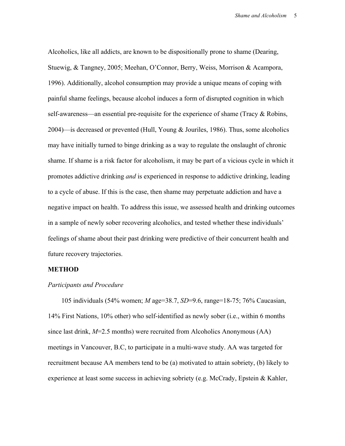Alcoholics, like all addicts, are known to be dispositionally prone to shame (Dearing, Stuewig, & Tangney, 2005; Meehan, O'Connor, Berry, Weiss, Morrison & Acampora, 1996). Additionally, alcohol consumption may provide a unique means of coping with painful shame feelings, because alcohol induces a form of disrupted cognition in which self-awareness—an essential pre-requisite for the experience of shame (Tracy & Robins, 2004)—is decreased or prevented (Hull, Young & Jouriles, 1986). Thus, some alcoholics may have initially turned to binge drinking as a way to regulate the onslaught of chronic shame. If shame is a risk factor for alcoholism, it may be part of a vicious cycle in which it promotes addictive drinking *and* is experienced in response to addictive drinking, leading to a cycle of abuse. If this is the case, then shame may perpetuate addiction and have a negative impact on health. To address this issue, we assessed health and drinking outcomes in a sample of newly sober recovering alcoholics, and tested whether these individuals' feelings of shame about their past drinking were predictive of their concurrent health and future recovery trajectories.

#### **METHOD**

#### *Participants and Procedure*

105 individuals (54% women; *M* age=38.7, *SD*=9.6, range=18-75; 76% Caucasian, 14% First Nations, 10% other) who self-identified as newly sober (i.e., within 6 months since last drink, *M*=2.5 months) were recruited from Alcoholics Anonymous (AA) meetings in Vancouver, B.C, to participate in a multi-wave study. AA was targeted for recruitment because AA members tend to be (a) motivated to attain sobriety, (b) likely to experience at least some success in achieving sobriety (e.g. McCrady, Epstein & Kahler,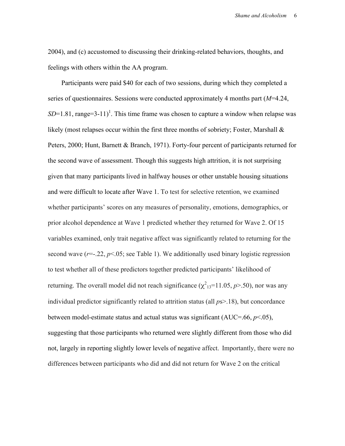2004), and (c) accustomed to discussing their drinking-related behaviors, thoughts, and feelings with others within the AA program.

Participants were paid \$40 for each of two sessions, during which they completed a series of questionnaires. Sessions were conducted approximately 4 months part (*M*=4.24,  $SD=1.81$ , range=3-11)<sup>1</sup>. This time frame was chosen to capture a window when relapse was likely (most relapses occur within the first three months of sobriety; Foster, Marshall & Peters, 2000; Hunt, Barnett & Branch, 1971). Forty-four percent of participants returned for the second wave of assessment. Though this suggests high attrition, it is not surprising given that many participants lived in halfway houses or other unstable housing situations and were difficult to locate after Wave 1. To test for selective retention, we examined whether participants' scores on any measures of personality, emotions, demographics, or prior alcohol dependence at Wave 1 predicted whether they returned for Wave 2. Of 15 variables examined, only trait negative affect was significantly related to returning for the second wave  $(r=-.22, p<.05;$  see Table 1). We additionally used binary logistic regression to test whether all of these predictors together predicted participants' likelihood of returning. The overall model did not reach significance  $(\chi^2_{13}=11.05, p>0.50)$ , nor was any individual predictor significantly related to attrition status (all *p*s>.18), but concordance between model-estimate status and actual status was significant (AUC=.66, *p*<.05), suggesting that those participants who returned were slightly different from those who did not, largely in reporting slightly lower levels of negative affect. Importantly, there were no differences between participants who did and did not return for Wave 2 on the critical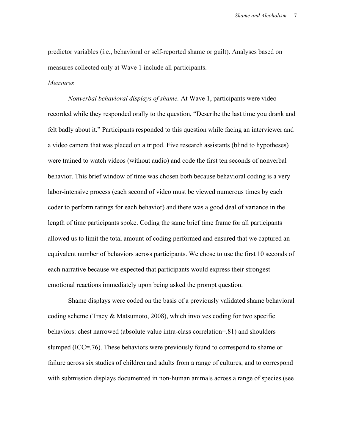predictor variables (i.e., behavioral or self-reported shame or guilt). Analyses based on measures collected only at Wave 1 include all participants.

#### *Measures*

*Nonverbal behavioral displays of shame.* At Wave 1, participants were videorecorded while they responded orally to the question, "Describe the last time you drank and felt badly about it." Participants responded to this question while facing an interviewer and a video camera that was placed on a tripod. Five research assistants (blind to hypotheses) were trained to watch videos (without audio) and code the first ten seconds of nonverbal behavior. This brief window of time was chosen both because behavioral coding is a very labor-intensive process (each second of video must be viewed numerous times by each coder to perform ratings for each behavior) and there was a good deal of variance in the length of time participants spoke. Coding the same brief time frame for all participants allowed us to limit the total amount of coding performed and ensured that we captured an equivalent number of behaviors across participants. We chose to use the first 10 seconds of each narrative because we expected that participants would express their strongest emotional reactions immediately upon being asked the prompt question.

Shame displays were coded on the basis of a previously validated shame behavioral coding scheme (Tracy & Matsumoto, 2008), which involves coding for two specific behaviors: chest narrowed (absolute value intra-class correlation=.81) and shoulders slumped (ICC=.76). These behaviors were previously found to correspond to shame or failure across six studies of children and adults from a range of cultures, and to correspond with submission displays documented in non-human animals across a range of species (see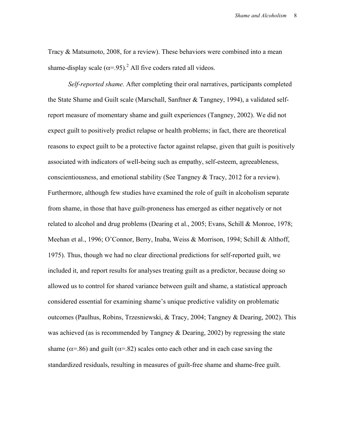Tracy & Matsumoto, 2008, for a review). These behaviors were combined into a mean shame-display scale  $(\alpha = 95)^2$ . All five coders rated all videos.

*Self-reported shame.* After completing their oral narratives, participants completed the State Shame and Guilt scale (Marschall, Sanftner & Tangney, 1994), a validated selfreport measure of momentary shame and guilt experiences (Tangney, 2002). We did not expect guilt to positively predict relapse or health problems; in fact, there are theoretical reasons to expect guilt to be a protective factor against relapse, given that guilt is positively associated with indicators of well-being such as empathy, self-esteem, agreeableness, conscientiousness, and emotional stability (See Tangney & Tracy, 2012 for a review). Furthermore, although few studies have examined the role of guilt in alcoholism separate from shame, in those that have guilt-proneness has emerged as either negatively or not related to alcohol and drug problems (Dearing et al., 2005; Evans, Schill & Monroe, 1978; Meehan et al., 1996; O'Connor, Berry, Inaba, Weiss & Morrison, 1994; Schill & Althoff, 1975). Thus, though we had no clear directional predictions for self-reported guilt, we included it, and report results for analyses treating guilt as a predictor, because doing so allowed us to control for shared variance between guilt and shame, a statistical approach considered essential for examining shame's unique predictive validity on problematic outcomes (Paulhus, Robins, Trzesniewski, & Tracy, 2004; Tangney & Dearing, 2002). This was achieved (as is recommended by Tangney & Dearing, 2002) by regressing the state shame ( $\alpha$ =.86) and guilt ( $\alpha$ =.82) scales onto each other and in each case saving the standardized residuals, resulting in measures of guilt-free shame and shame-free guilt.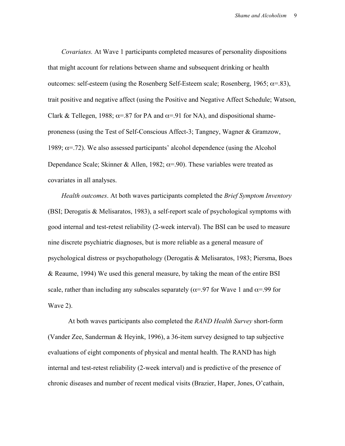*Covariates.* At Wave 1 participants completed measures of personality dispositions that might account for relations between shame and subsequent drinking or health outcomes: self-esteem (using the Rosenberg Self-Esteem scale; Rosenberg, 1965;  $\alpha$ =.83), trait positive and negative affect (using the Positive and Negative Affect Schedule; Watson, Clark & Tellegen, 1988;  $\alpha = .87$  for PA and  $\alpha = .91$  for NA), and dispositional shameproneness (using the Test of Self-Conscious Affect-3; Tangney, Wagner & Gramzow, 1989;  $\alpha$ =.72). We also assessed participants' alcohol dependence (using the Alcohol Dependance Scale; Skinner & Allen, 1982;  $\alpha$ =.90). These variables were treated as covariates in all analyses.

*Health outcomes*. At both waves participants completed the *Brief Symptom Inventory*  (BSI; Derogatis & Melisaratos, 1983), a self-report scale of psychological symptoms with good internal and test-retest reliability (2-week interval). The BSI can be used to measure nine discrete psychiatric diagnoses, but is more reliable as a general measure of psychological distress or psychopathology (Derogatis & Melisaratos, 1983; Piersma, Boes & Reaume, 1994) We used this general measure, by taking the mean of the entire BSI scale, rather than including any subscales separately ( $\alpha$ =.97 for Wave 1 and  $\alpha$ =.99 for Wave 2).

At both waves participants also completed the *RAND Health Survey* short-form (Vander Zee, Sanderman & Heyink, 1996), a 36-item survey designed to tap subjective evaluations of eight components of physical and mental health. The RAND has high internal and test-retest reliability (2-week interval) and is predictive of the presence of chronic diseases and number of recent medical visits (Brazier, Haper, Jones, O'cathain,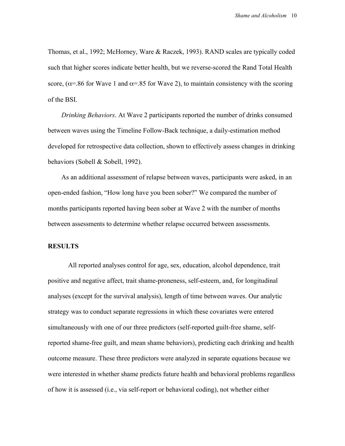Thomas, et al., 1992; McHorney, Ware & Raczek, 1993). RAND scales are typically coded such that higher scores indicate better health, but we reverse-scored the Rand Total Health score, ( $\alpha$ =.86 for Wave 1 and  $\alpha$ =.85 for Wave 2), to maintain consistency with the scoring of the BSI.

*Drinking Behaviors*. At Wave 2 participants reported the number of drinks consumed between waves using the Timeline Follow-Back technique, a daily-estimation method developed for retrospective data collection, shown to effectively assess changes in drinking behaviors (Sobell & Sobell, 1992).

As an additional assessment of relapse between waves, participants were asked, in an open-ended fashion, "How long have you been sober?" We compared the number of months participants reported having been sober at Wave 2 with the number of months between assessments to determine whether relapse occurred between assessments.

## **RESULTS**

All reported analyses control for age, sex, education, alcohol dependence, trait positive and negative affect, trait shame-proneness, self-esteem, and, for longitudinal analyses (except for the survival analysis), length of time between waves. Our analytic strategy was to conduct separate regressions in which these covariates were entered simultaneously with one of our three predictors (self-reported guilt-free shame, selfreported shame-free guilt, and mean shame behaviors), predicting each drinking and health outcome measure. These three predictors were analyzed in separate equations because we were interested in whether shame predicts future health and behavioral problems regardless of how it is assessed (i.e., via self-report or behavioral coding), not whether either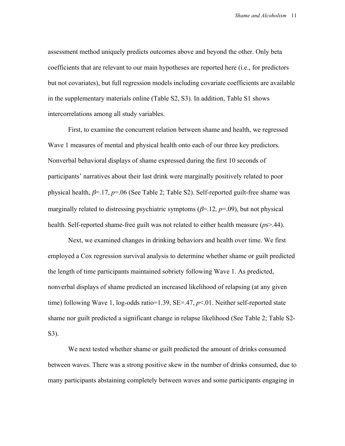assessment method uniquely predicts outcomes above and beyond the other. Only beta coefficients that are relevant to our main hypotheses are reported here (i.e., for predictors but not covariates), but full regression models including covariate coefficients are available in the supplementary materials online (Table S2, S3). In addition, Table S1 shows intercorrelations among all study variables.

First, to examine the concurrent relation between shame and health, we regressed Wave 1 measures of mental and physical health onto each of our three key predictors. Nonverbal behavioral displays of shame expressed during the first 10 seconds of participants' narratives about their last drink were marginally positively related to poor physical health,  $\beta$ =.17,  $p$ =.06 (See Table 2; Table S2). Self-reported guilt-free shame was marginally related to distressing psychiatric symptoms  $(\beta = 12, p = .09)$ , but not physical health. Self-reported shame-free guilt was not related to either health measure (*p*s>.44).

Next, we examined changes in drinking behaviors and health over time. We first employed a Cox regression survival analysis to determine whether shame or guilt predicted the length of time participants maintained sobriety following Wave 1. As predicted, nonverbal displays of shame predicted an increased likelihood of relapsing (at any given time) following Wave 1, log-odds ratio=1.39, SE=.47, *p*<.01. Neither self-reported state shame nor guilt predicted a significant change in relapse likelihood (See Table 2; Table S2- S3).

We next tested whether shame or guilt predicted the amount of drinks consumed between waves. There was a strong positive skew in the number of drinks consumed, due to many participants abstaining completely between waves and some participants engaging in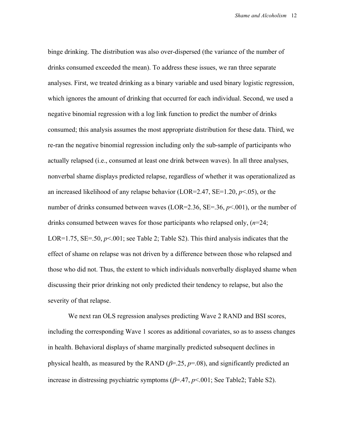binge drinking. The distribution was also over-dispersed (the variance of the number of drinks consumed exceeded the mean). To address these issues, we ran three separate analyses. First, we treated drinking as a binary variable and used binary logistic regression, which ignores the amount of drinking that occurred for each individual. Second, we used a negative binomial regression with a log link function to predict the number of drinks consumed; this analysis assumes the most appropriate distribution for these data. Third, we re-ran the negative binomial regression including only the sub-sample of participants who actually relapsed (i.e., consumed at least one drink between waves). In all three analyses, nonverbal shame displays predicted relapse, regardless of whether it was operationalized as an increased likelihood of any relapse behavior (LOR=2.47, SE=1.20, *p*<.05), or the number of drinks consumed between waves (LOR=2.36, SE=.36, *p*<.001), or the number of drinks consumed between waves for those participants who relapsed only, (*n*=24; LOR=1.75, SE=.50,  $p<0.01$ ; see Table 2; Table S2). This third analysis indicates that the effect of shame on relapse was not driven by a difference between those who relapsed and those who did not. Thus, the extent to which individuals nonverbally displayed shame when discussing their prior drinking not only predicted their tendency to relapse, but also the severity of that relapse.

We next ran OLS regression analyses predicting Wave 2 RAND and BSI scores, including the corresponding Wave 1 scores as additional covariates, so as to assess changes in health. Behavioral displays of shame marginally predicted subsequent declines in physical health, as measured by the RAND ( $\beta$ =.25,  $p$ =.08), and significantly predicted an increase in distressing psychiatric symptoms  $(\beta = .47, p < .001)$ ; See Table2; Table S2).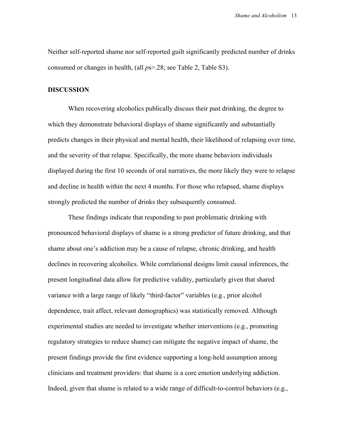Neither self-reported shame nor self-reported guilt significantly predicted number of drinks consumed or changes in health, (all *p*s>.28; see Table 2, Table S3).

### **DISCUSSION**

When recovering alcoholics publically discuss their past drinking, the degree to which they demonstrate behavioral displays of shame significantly and substantially predicts changes in their physical and mental health, their likelihood of relapsing over time, and the severity of that relapse. Specifically, the more shame behaviors individuals displayed during the first 10 seconds of oral narratives, the more likely they were to relapse and decline in health within the next 4 months. For those who relapsed, shame displays strongly predicted the number of drinks they subsequently consumed.

These findings indicate that responding to past problematic drinking with pronounced behavioral displays of shame is a strong predictor of future drinking, and that shame about one's addiction may be a cause of relapse, chronic drinking, and health declines in recovering alcoholics. While correlational designs limit causal inferences, the present longitudinal data allow for predictive validity, particularly given that shared variance with a large range of likely "third-factor" variables (e.g., prior alcohol dependence, trait affect, relevant demographics) was statistically removed. Although experimental studies are needed to investigate whether interventions (e.g., promoting regulatory strategies to reduce shame) can mitigate the negative impact of shame, the present findings provide the first evidence supporting a long-held assumption among clinicians and treatment providers: that shame is a core emotion underlying addiction. Indeed, given that shame is related to a wide range of difficult-to-control behaviors (e.g.,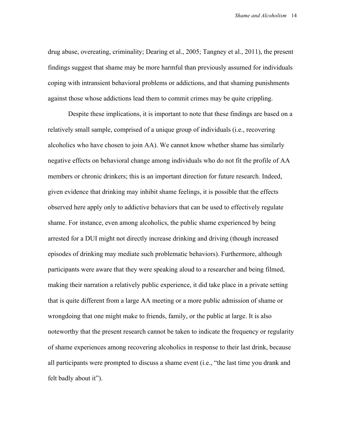drug abuse, overeating, criminality; Dearing et al., 2005; Tangney et al., 2011), the present findings suggest that shame may be more harmful than previously assumed for individuals coping with intransient behavioral problems or addictions, and that shaming punishments against those whose addictions lead them to commit crimes may be quite crippling.

Despite these implications, it is important to note that these findings are based on a relatively small sample, comprised of a unique group of individuals (i.e., recovering alcoholics who have chosen to join AA). We cannot know whether shame has similarly negative effects on behavioral change among individuals who do not fit the profile of AA members or chronic drinkers; this is an important direction for future research. Indeed, given evidence that drinking may inhibit shame feelings, it is possible that the effects observed here apply only to addictive behaviors that can be used to effectively regulate shame. For instance, even among alcoholics, the public shame experienced by being arrested for a DUI might not directly increase drinking and driving (though increased episodes of drinking may mediate such problematic behaviors). Furthermore, although participants were aware that they were speaking aloud to a researcher and being filmed, making their narration a relatively public experience, it did take place in a private setting that is quite different from a large AA meeting or a more public admission of shame or wrongdoing that one might make to friends, family, or the public at large. It is also noteworthy that the present research cannot be taken to indicate the frequency or regularity of shame experiences among recovering alcoholics in response to their last drink, because all participants were prompted to discuss a shame event (i.e., "the last time you drank and felt badly about it").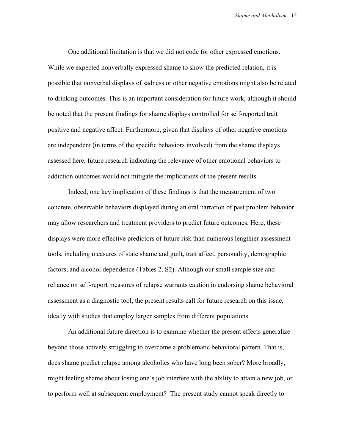One additional limitation is that we did not code for other expressed emotions. While we expected nonverbally expressed shame to show the predicted relation, it is possible that nonverbal displays of sadness or other negative emotions might also be related to drinking outcomes. This is an important consideration for future work, although it should be noted that the present findings for shame displays controlled for self-reported trait positive and negative affect. Furthermore, given that displays of other negative emotions are independent (in terms of the specific behaviors involved) from the shame displays assessed here, future research indicating the relevance of other emotional behaviors to addiction outcomes would not mitigate the implications of the present results.

Indeed, one key implication of these findings is that the measurement of two concrete, observable behaviors displayed during an oral narration of past problem behavior may allow researchers and treatment providers to predict future outcomes. Here, these displays were more effective predictors of future risk than numerous lengthier assessment tools, including measures of state shame and guilt, trait affect, personality, demographic factors, and alcohol dependence (Tables 2, S2). Although our small sample size and reliance on self-report measures of relapse warrants caution in endorsing shame behavioral assessment as a diagnostic tool, the present results call for future research on this issue, ideally with studies that employ larger samples from different populations.

An additional future direction is to examine whether the present effects generalize beyond those actively struggling to overcome a problematic behavioral pattern. That is, does shame predict relapse among alcoholics who have long been sober? More broadly, might feeling shame about losing one's job interfere with the ability to attain a new job, or to perform well at subsequent employment? The present study cannot speak directly to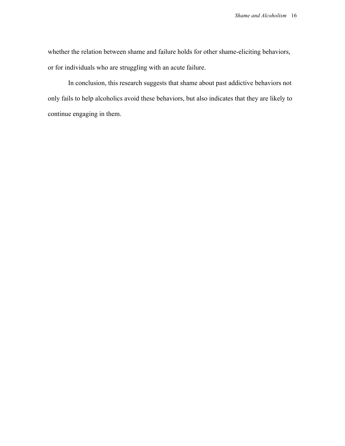whether the relation between shame and failure holds for other shame-eliciting behaviors, or for individuals who are struggling with an acute failure.

In conclusion, this research suggests that shame about past addictive behaviors not only fails to help alcoholics avoid these behaviors, but also indicates that they are likely to continue engaging in them.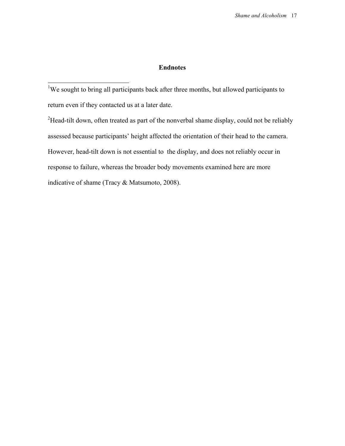## **Endnotes**

<sup>1</sup>We sought to bring all participants back after three months, but allowed participants to return even if they contacted us at a later date.

<sup>2</sup>Head-tilt down, often treated as part of the nonverbal shame display, could not be reliably assessed because participants' height affected the orientation of their head to the camera. However, head-tilt down is not essential to the display, and does not reliably occur in response to failure, whereas the broader body movements examined here are more indicative of shame (Tracy & Matsumoto, 2008).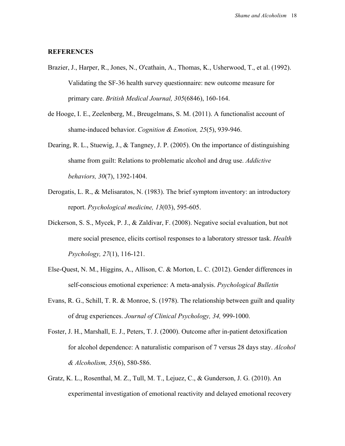#### **REFERENCES**

- Brazier, J., Harper, R., Jones, N., O'cathain, A., Thomas, K., Usherwood, T., et al. (1992). Validating the SF-36 health survey questionnaire: new outcome measure for primary care. *British Medical Journal, 305*(6846), 160-164.
- de Hooge, I. E., Zeelenberg, M., Breugelmans, S. M. (2011). A functionalist account of shame-induced behavior. *Cognition & Emotion, 25*(5), 939-946.
- Dearing, R. L., Stuewig, J., & Tangney, J. P. (2005). On the importance of distinguishing shame from guilt: Relations to problematic alcohol and drug use. *Addictive behaviors, 30*(7), 1392-1404.
- Derogatis, L. R., & Melisaratos, N. (1983). The brief symptom inventory: an introductory report. *Psychological medicine, 13*(03), 595-605.
- Dickerson, S. S., Mycek, P. J., & Zaldivar, F. (2008). Negative social evaluation, but not mere social presence, elicits cortisol responses to a laboratory stressor task. *Health Psychology, 27*(1), 116-121.
- Else-Quest, N. M., Higgins, A., Allison, C. & Morton, L. C. (2012). Gender differences in self-conscious emotional experience: A meta-analysis. *Psychological Bulletin*
- Evans, R. G., Schill, T. R. & Monroe, S. (1978). The relationship between guilt and quality of drug experiences. *Journal of Clinical Psychology, 34,* 999-1000.
- Foster, J. H., Marshall, E. J., Peters, T. J. (2000). Outcome after in-patient detoxification for alcohol dependence: A naturalistic comparison of 7 versus 28 days stay. *Alcohol & Alcoholism, 35*(6), 580-586.
- Gratz, K. L., Rosenthal, M. Z., Tull, M. T., Lejuez, C., & Gunderson, J. G. (2010). An experimental investigation of emotional reactivity and delayed emotional recovery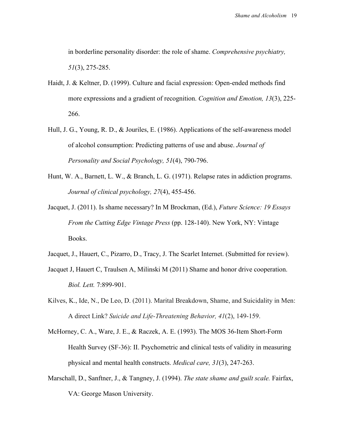in borderline personality disorder: the role of shame. *Comprehensive psychiatry, 51*(3), 275-285.

- Haidt, J. & Keltner, D. (1999). Culture and facial expression: Open-ended methods find more expressions and a gradient of recognition. *Cognition and Emotion, 13*(3), 225- 266.
- Hull, J. G., Young, R. D., & Jouriles, E. (1986). Applications of the self-awareness model of alcohol consumption: Predicting patterns of use and abuse. *Journal of Personality and Social Psychology, 51*(4), 790-796.
- Hunt, W. A., Barnett, L. W., & Branch, L. G. (1971). Relapse rates in addiction programs. *Journal of clinical psychology, 27*(4), 455-456.
- Jacquet, J. (2011). Is shame necessary? In M Brockman, (Ed.), *Future Science: 19 Essays From the Cutting Edge Vintage Press* (pp. 128-140). New York, NY: Vintage Books.
- Jacquet, J., Hauert, C., Pizarro, D., Tracy, J. The Scarlet Internet. (Submitted for review).
- Jacquet J, Hauert C, Traulsen A, Milinski M (2011) Shame and honor drive cooperation. *Biol. Lett.* 7:899-901.
- Kilves, K., Ide, N., De Leo, D. (2011). Marital Breakdown, Shame, and Suicidality in Men: A direct Link? *Suicide and Life-Threatening Behavior, 41*(2), 149-159.
- McHorney, C. A., Ware, J. E., & Raczek, A. E. (1993). The MOS 36-Item Short-Form Health Survey (SF-36): II. Psychometric and clinical tests of validity in measuring physical and mental health constructs. *Medical care, 31*(3), 247-263.
- Marschall, D., Sanftner, J., & Tangney, J. (1994). *The state shame and guilt scale.* Fairfax, VA: George Mason University.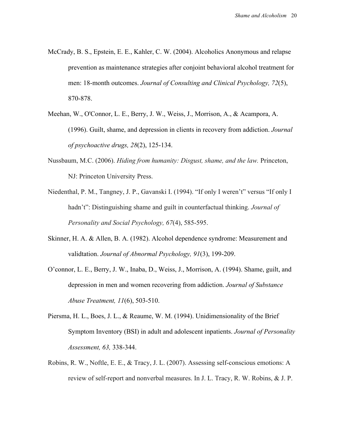- McCrady, B. S., Epstein, E. E., Kahler, C. W. (2004). Alcoholics Anonymous and relapse prevention as maintenance strategies after conjoint behavioral alcohol treatment for men: 18-month outcomes. *Journal of Consulting and Clinical Psychology, 72*(5), 870-878.
- Meehan, W., O'Connor, L. E., Berry, J. W., Weiss, J., Morrison, A., & Acampora, A. (1996). Guilt, shame, and depression in clients in recovery from addiction. *Journal of psychoactive drugs, 28*(2), 125-134.
- Nussbaum, M.C. (2006). *Hiding from humanity: Disgust, shame, and the law.* Princeton, NJ: Princeton University Press.
- Niedenthal, P. M., Tangney, J. P., Gavanski I. (1994). "If only I weren't" versus "If only I hadn't": Distinguishing shame and guilt in counterfactual thinking. *Journal of Personality and Social Psychology, 67*(4), 585-595.
- Skinner, H. A. & Allen, B. A. (1982). Alcohol dependence syndrome: Measurement and validtation. *Journal of Abnormal Psychology, 91*(3), 199-209.
- O'connor, L. E., Berry, J. W., Inaba, D., Weiss, J., Morrison, A. (1994). Shame, guilt, and depression in men and women recovering from addiction. *Journal of Substance Abuse Treatment, 11*(6), 503-510.
- Piersma, H. L., Boes, J. L., & Reaume, W. M. (1994). Unidimensionality of the Brief Symptom Inventory (BSI) in adult and adolescent inpatients. *Journal of Personality Assessment, 63,* 338-344.
- Robins, R. W., Noftle, E. E., & Tracy, J. L. (2007). Assessing self-conscious emotions: A review of self-report and nonverbal measures. In J. L. Tracy, R. W. Robins, & J. P.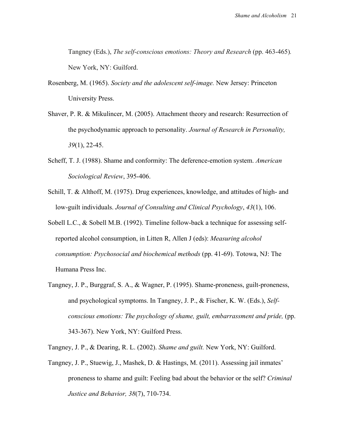Tangney (Eds.), *The self-conscious emotions: Theory and Research* (pp. 463-465)*.* New York, NY: Guilford.

- Rosenberg, M. (1965). *Society and the adolescent self-image.* New Jersey: Princeton University Press.
- Shaver, P. R. & Mikulincer, M. (2005). Attachment theory and research: Resurrection of the psychodynamic approach to personality. *Journal of Research in Personality, 39*(1), 22-45.
- Scheff, T. J. (1988). Shame and conformity: The deference-emotion system. *American Sociological Review*, 395-406.
- Schill, T. & Althoff, M. (1975). Drug experiences, knowledge, and attitudes of high- and low-guilt individuals. *Journal of Consulting and Clinical Psychology*, *43*(1), 106.
- Sobell L.C., & Sobell M.B. (1992). Timeline follow-back a technique for assessing selfreported alcohol consumption, in Litten R, Allen J (eds): *Measuring alcohol consumption: Psychosocial and biochemical methods* (pp. 41-69). Totowa, NJ: The Humana Press Inc.
- Tangney, J. P., Burggraf, S. A., & Wagner, P. (1995). Shame-proneness, guilt-proneness, and psychological symptoms. In Tangney, J. P., & Fischer, K. W. (Eds.), *Selfconscious emotions: The psychology of shame, guilt, embarrassment and pride, (pp.* 343-367). New York, NY: Guilford Press.

Tangney, J. P., & Dearing, R. L. (2002). *Shame and guilt.* New York, NY: Guilford.

Tangney, J. P., Stuewig, J., Mashek, D. & Hastings, M. (2011). Assessing jail inmates' proneness to shame and guilt: Feeling bad about the behavior or the self? *Criminal Justice and Behavior, 38*(7), 710-734.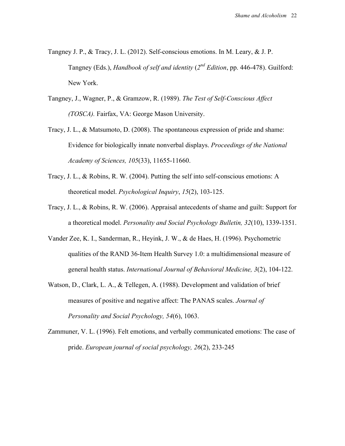- Tangney J. P., & Tracy, J. L. (2012). Self-conscious emotions. In M. Leary, & J. P. Tangney (Eds.), *Handbook of self and identity* (*2nd Edition*, pp. 446-478). Guilford: New York.
- Tangney, J., Wagner, P., & Gramzow, R. (1989). *The Test of Self-Conscious Affect (TOSCA).* Fairfax, VA: George Mason University.
- Tracy, J. L., & Matsumoto, D. (2008). The spontaneous expression of pride and shame: Evidence for biologically innate nonverbal displays. *Proceedings of the National Academy of Sciences, 105*(33), 11655-11660.
- Tracy, J. L., & Robins, R. W. (2004). Putting the self into self-conscious emotions: A theoretical model. *Psychological Inquiry*, *15*(2), 103-125.
- Tracy, J. L., & Robins, R. W. (2006). Appraisal antecedents of shame and guilt: Support for a theoretical model. *Personality and Social Psychology Bulletin, 32*(10), 1339-1351.
- Vander Zee, K. I., Sanderman, R., Heyink, J. W., & de Haes, H. (1996). Psychometric qualities of the RAND 36-Item Health Survey 1.0: a multidimensional measure of general health status. *International Journal of Behavioral Medicine, 3*(2), 104-122.
- Watson, D., Clark, L. A., & Tellegen, A. (1988). Development and validation of brief measures of positive and negative affect: The PANAS scales. *Journal of Personality and Social Psychology, 54*(6), 1063.
- Zammuner, V. L. (1996). Felt emotions, and verbally communicated emotions: The case of pride. *European journal of social psychology, 26*(2), 233-245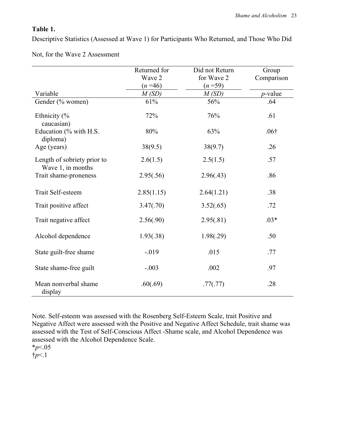$\mathbb{R}^2$ 

## **Table 1.**

Descriptive Statistics (Assessed at Wave 1) for Participants Who Returned, and Those Who Did

|                                                  | Returned for<br>Did not Return |                      | Group<br>Comparison |
|--------------------------------------------------|--------------------------------|----------------------|---------------------|
|                                                  |                                | for Wave 2<br>Wave 2 |                     |
|                                                  | $(n=46)$                       | $(n=59)$             |                     |
| Variable                                         | M(SD)                          | M(SD)                | $p$ -value          |
| Gender (% women)                                 | 61%                            | 56%                  | .64                 |
| Ethnicity (%<br>caucasian)                       | 72%                            | 76%                  | .61                 |
| Education (% with H.S.<br>diploma)               | 80%                            | 63%                  | .06 <sup>†</sup>    |
| Age (years)                                      | 38(9.5)                        | 38(9.7)              | .26                 |
| Length of sobriety prior to<br>Wave 1, in months | 2.6(1.5)                       | 2.5(1.5)             | .57                 |
| Trait shame-proneness                            | 2.95(.56)                      | 2.96(.43)            | .86                 |
| Trait Self-esteem                                | 2.85(1.15)                     | 2.64(1.21)           | .38                 |
| Trait positive affect                            | 3.47(.70)                      | 3.52(.65)            | .72                 |
| Trait negative affect                            | 2.56(.90)                      | 2.95(.81)            | $.03*$              |
| Alcohol dependence                               | 1.93(.38)                      | 1.98(.29)            | .50                 |
| State guilt-free shame                           | $-019$                         | .015                 | .77                 |
| State shame-free guilt                           | $-.003$                        | .002                 | .97                 |
| Mean nonverbal shame<br>display                  | .60(.69)                       | .77(.77)             | .28                 |

Not, for the Wave 2 Assessment

Note. Self-esteem was assessed with the Rosenberg Self-Esteem Scale, trait Positive and Negative Affect were assessed with the Positive and Negative Affect Schedule, trait shame was assessed with the Test of Self-Conscious Affect -Shame scale, and Alcohol Dependence was assessed with the Alcohol Dependence Scale.

\**p*<.05

†*p*<.1